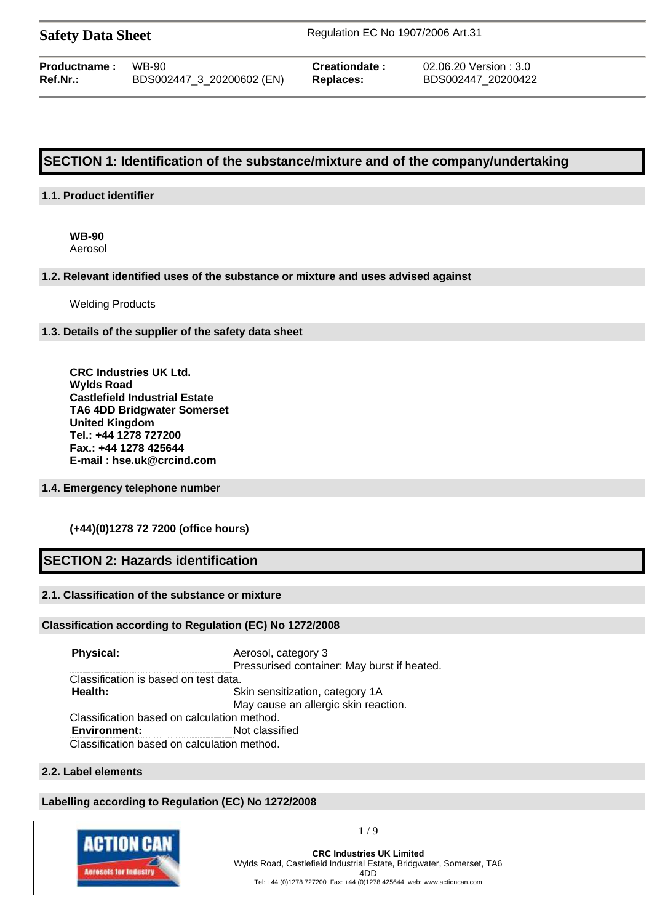| <b>Safety Data Sheet</b> |  |  |
|--------------------------|--|--|
|--------------------------|--|--|

**Safety Data Sheet** Regulation EC No 1907/2006 Art.31

| <b>Productname:</b> | WB-90                     |
|---------------------|---------------------------|
| Ref.Nr.:            | BDS002447_3_20200602 (EN) |

**Creationdate :** 02.06.20 Version : 3.0 **Ref.Nr.:** BDS002447\_3\_20200602 (EN) **Replaces:** BDS002447\_20200422

# **SECTION 1: Identification of the substance/mixture and of the company/undertaking**

#### **1.1. Product identifier**

**WB-90** Aerosol

#### **1.2. Relevant identified uses of the substance or mixture and uses advised against**

Welding Products

#### **1.3. Details of the supplier of the safety data sheet**

**CRC Industries UK Ltd. Wylds Road Castlefield Industrial Estate TA6 4DD Bridgwater Somerset United Kingdom Tel.: +44 1278 727200 Fax.: +44 1278 425644 E-mail : hse.uk@crcind.com**

#### **1.4. Emergency telephone number**

#### **(+44)(0)1278 72 7200 (office hours)**

# **SECTION 2: Hazards identification**

#### **2.1. Classification of the substance or mixture**

#### **Classification according to Regulation (EC) No 1272/2008**

**Physical:** Aerosol, category 3 Pressurised container: May burst if heated. Classification is based on test data. **Health:** Skin sensitization, category 1A May cause an allergic skin reaction. Classification based on calculation method. **Environment:** Not classified Classification based on calculation method.

# **2.2. Label elements**

#### **Labelling according to Regulation (EC) No 1272/2008**



1 / 9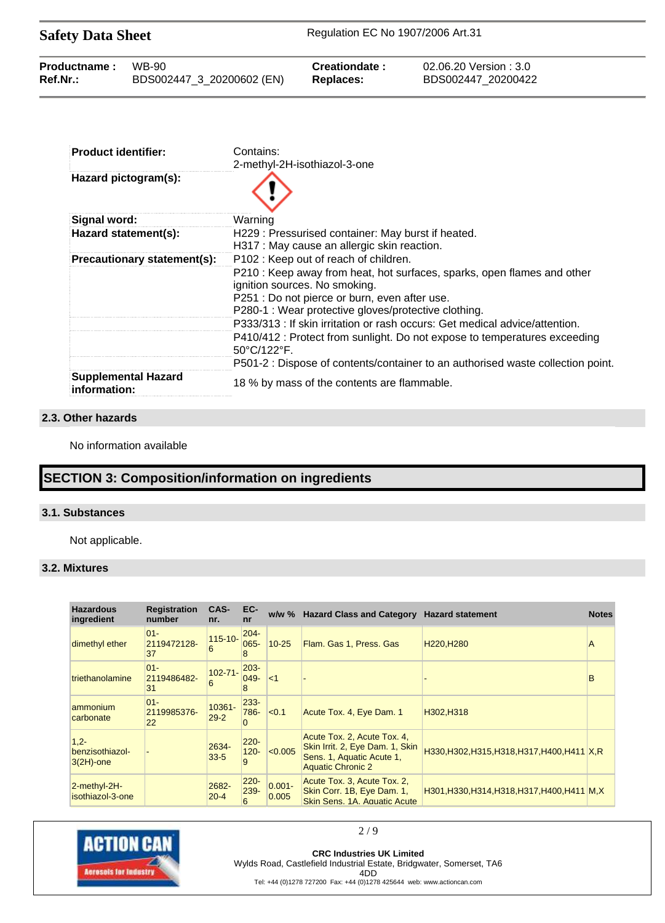| <b>Safety Data Sheet</b> |                           | Regulation EC No 1907/2006 Art.31 |                        |  |  |
|--------------------------|---------------------------|-----------------------------------|------------------------|--|--|
| Productname:             | WB-90                     | Creationdate:                     | 02.06.20 Version : 3.0 |  |  |
| $Ref.Nr.$ :              | BDS002447 3 20200602 (EN) | <b>Replaces:</b>                  | BDS002447 20200422     |  |  |

| <b>Product identifier:</b>                 | Contains:                                                                                                                                                                                                         |
|--------------------------------------------|-------------------------------------------------------------------------------------------------------------------------------------------------------------------------------------------------------------------|
| Hazard pictogram(s):                       | 2-methyl-2H-isothiazol-3-one                                                                                                                                                                                      |
| Signal word:                               | Warning                                                                                                                                                                                                           |
| Hazard statement(s):                       | H229: Pressurised container: May burst if heated.<br>H317 : May cause an allergic skin reaction.                                                                                                                  |
| Precautionary statement(s):                | P102 : Keep out of reach of children.                                                                                                                                                                             |
|                                            | P210 : Keep away from heat, hot surfaces, sparks, open flames and other<br>ignition sources. No smoking.<br>P251 : Do not pierce or burn, even after use.<br>P280-1 : Wear protective gloves/protective clothing. |
|                                            | P333/313 : If skin irritation or rash occurs: Get medical advice/attention.                                                                                                                                       |
|                                            | P410/412 : Protect from sunlight. Do not expose to temperatures exceeding<br>$50^{\circ}$ C/122 $^{\circ}$ F.                                                                                                     |
|                                            | P501-2 : Dispose of contents/container to an authorised waste collection point.                                                                                                                                   |
| <b>Supplemental Hazard</b><br>information: | 18 % by mass of the contents are flammable.                                                                                                                                                                       |

# **2.3. Other hazards**

No information available

# **SECTION 3: Composition/information on ingredients**

#### **3.1. Substances**

Not applicable.

### **3.2. Mixtures**

| <b>Hazardous</b><br>ingredient             | <b>Registration</b><br>number | CAS-<br>nr.        | EC-<br>nr                   | $w/w \%$           | <b>Hazard Class and Category</b>                                                                                        | <b>Hazard statement</b>                       | <b>Notes</b> |
|--------------------------------------------|-------------------------------|--------------------|-----------------------------|--------------------|-------------------------------------------------------------------------------------------------------------------------|-----------------------------------------------|--------------|
| dimethyl ether                             | $01 -$<br>2119472128-<br>37   | $115 - 10 -$<br>6  | $204 -$<br>$065 -$          | $10 - 25$          | Flam. Gas 1, Press. Gas                                                                                                 | H <sub>220</sub> , H <sub>280</sub>           | A            |
| triethanolamine                            | $01 -$<br>2119486482-<br>31   | $102 - 71 -$<br>6  | $203 -$<br>$049 -$<br>8     | $\leq$ 1           |                                                                                                                         |                                               | B            |
| ammonium<br>carbonate                      | $01 -$<br>2119985376-<br>22   | 10361-<br>$29 - 2$ | $233 -$<br>786-<br>$\Omega$ | < 0.1              | Acute Tox. 4, Eye Dam. 1                                                                                                | H302.H318                                     |              |
| $1.2 -$<br>benzisothiazol-<br>$3(2H)$ -one |                               | 2634-<br>$33 - 5$  | $220 -$<br>$120 -$<br>9     | < 0.005            | Acute Tox. 2, Acute Tox. 4,<br>Skin Irrit. 2, Eye Dam. 1, Skin<br>Sens. 1, Aquatic Acute 1,<br><b>Aquatic Chronic 2</b> | H330, H302, H315, H318, H317, H400, H411 X, R |              |
| 2-methyl-2H-<br>isothiazol-3-one           |                               | 2682-<br>$20 - 4$  | $220 -$<br>$239 -$<br>6     | $0.001 -$<br>0.005 | Acute Tox. 3, Acute Tox. 2,<br>Skin Corr. 1B, Eye Dam. 1,<br>Skin Sens, 1A. Aquatic Acute                               | H301, H330, H314, H318, H317, H400, H411 M, X |              |



2 / 9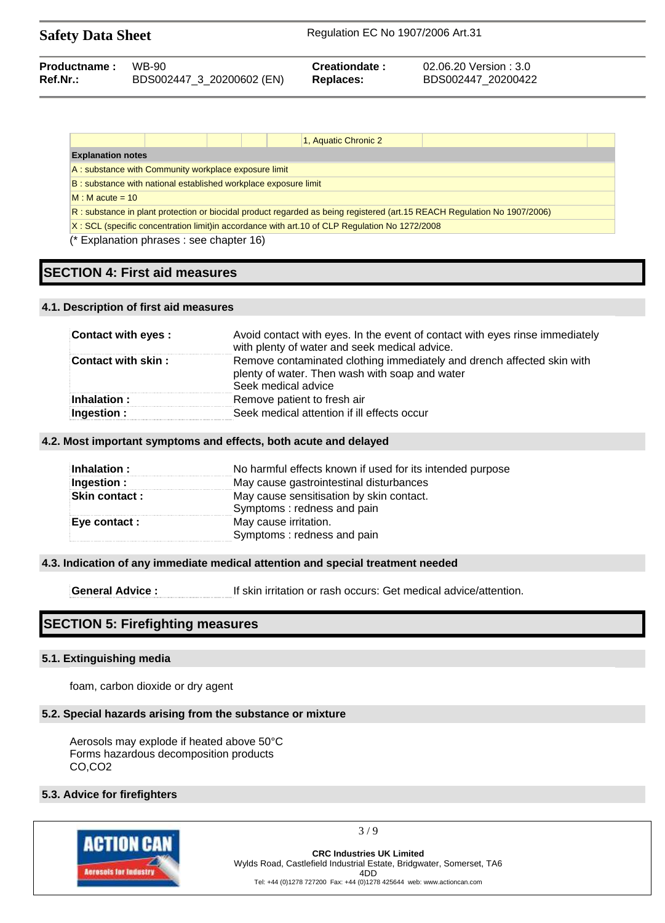| <b>Safety Data Sheet</b> |                           | Regulation EC No 1907/2006 Art.31 |                        |  |
|--------------------------|---------------------------|-----------------------------------|------------------------|--|
| Productname:             | WB-90                     | Creationdate:                     | 02.06.20 Version : 3.0 |  |
| Ref.Nr.:                 | BDS002447_3_20200602 (EN) | <b>Replaces:</b>                  | BDS002447 20200422     |  |

|                          |                                                                 |  | 1, Aquatic Chronic 2                                                                          |                                                                                                                          |  |
|--------------------------|-----------------------------------------------------------------|--|-----------------------------------------------------------------------------------------------|--------------------------------------------------------------------------------------------------------------------------|--|
| <b>Explanation notes</b> |                                                                 |  |                                                                                               |                                                                                                                          |  |
|                          | A: substance with Community workplace exposure limit            |  |                                                                                               |                                                                                                                          |  |
|                          | B: substance with national established workplace exposure limit |  |                                                                                               |                                                                                                                          |  |
| $M : M$ acute = 10       |                                                                 |  |                                                                                               |                                                                                                                          |  |
|                          |                                                                 |  |                                                                                               | R: substance in plant protection or biocidal product regarded as being registered (art.15 REACH Regulation No 1907/2006) |  |
|                          |                                                                 |  | X: SCL (specific concentration limit)in accordance with art.10 of CLP Regulation No 1272/2008 |                                                                                                                          |  |

(\* Explanation phrases : see chapter 16)

# **SECTION 4: First aid measures**

#### **4.1. Description of first aid measures**

| <b>Contact with eyes:</b> | Avoid contact with eyes. In the event of contact with eyes rinse immediately<br>with plenty of water and seek medical advice.                   |
|---------------------------|-------------------------------------------------------------------------------------------------------------------------------------------------|
| <b>Contact with skin:</b> | Remove contaminated clothing immediately and drench affected skin with<br>plenty of water. Then wash with soap and water<br>Seek medical advice |
| Inhalation:               | Remove patient to fresh air                                                                                                                     |
| Ingestion:                | Seek medical attention if ill effects occur                                                                                                     |

#### **4.2. Most important symptoms and effects, both acute and delayed**

| Inhalation:          | No harmful effects known if used for its intended purpose              |
|----------------------|------------------------------------------------------------------------|
| Ingestion :          | May cause gastrointestinal disturbances                                |
| <b>Skin contact:</b> | May cause sensitisation by skin contact.<br>Symptoms: redness and pain |
| Eye contact :        | May cause irritation.<br>Symptoms: redness and pain                    |
|                      |                                                                        |

#### **4.3. Indication of any immediate medical attention and special treatment needed**

**General Advice :** If skin irritation or rash occurs: Get medical advice/attention.

# **SECTION 5: Firefighting measures**

#### **5.1. Extinguishing media**

foam, carbon dioxide or dry agent

#### **5.2. Special hazards arising from the substance or mixture**

Aerosols may explode if heated above 50°C Forms hazardous decomposition products CO,CO2

#### **5.3. Advice for firefighters**



3 / 9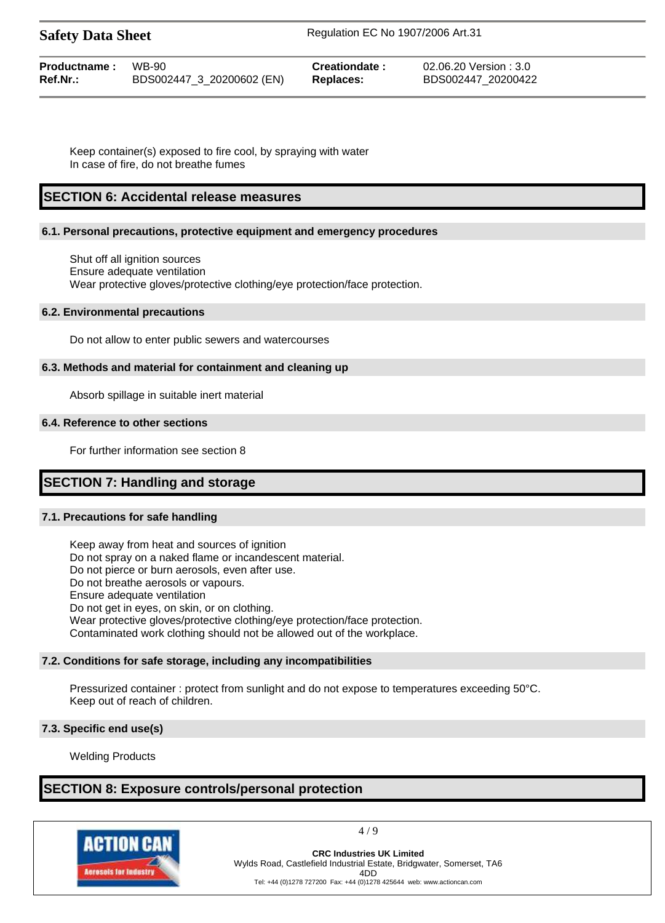| <b>Safety Data Sheet</b> | Regulation EC No 1907/2006 Art.31 |
|--------------------------|-----------------------------------|
|                          |                                   |

| <b>Productname:</b> WB-90 |                           | Creationdate:    | 02.06.20 Version : 3.0 |
|---------------------------|---------------------------|------------------|------------------------|
| Ref.Nr.:                  | BDS002447_3_20200602 (EN) | <b>Replaces:</b> | BDS002447 20200422     |

Keep container(s) exposed to fire cool, by spraying with water In case of fire, do not breathe fumes

# **SECTION 6: Accidental release measures**

#### **6.1. Personal precautions, protective equipment and emergency procedures**

Shut off all ignition sources Ensure adequate ventilation Wear protective gloves/protective clothing/eye protection/face protection.

#### **6.2. Environmental precautions**

Do not allow to enter public sewers and watercourses

#### **6.3. Methods and material for containment and cleaning up**

Absorb spillage in suitable inert material

#### **6.4. Reference to other sections**

For further information see section 8

# **SECTION 7: Handling and storage**

#### **7.1. Precautions for safe handling**

Keep away from heat and sources of ignition Do not spray on a naked flame or incandescent material. Do not pierce or burn aerosols, even after use. Do not breathe aerosols or vapours. Ensure adequate ventilation Do not get in eyes, on skin, or on clothing. Wear protective gloves/protective clothing/eye protection/face protection. Contaminated work clothing should not be allowed out of the workplace.

#### **7.2. Conditions for safe storage, including any incompatibilities**

Pressurized container : protect from sunlight and do not expose to temperatures exceeding 50°C. Keep out of reach of children.

#### **7.3. Specific end use(s)**

Welding Products

# **SECTION 8: Exposure controls/personal protection**



4 / 9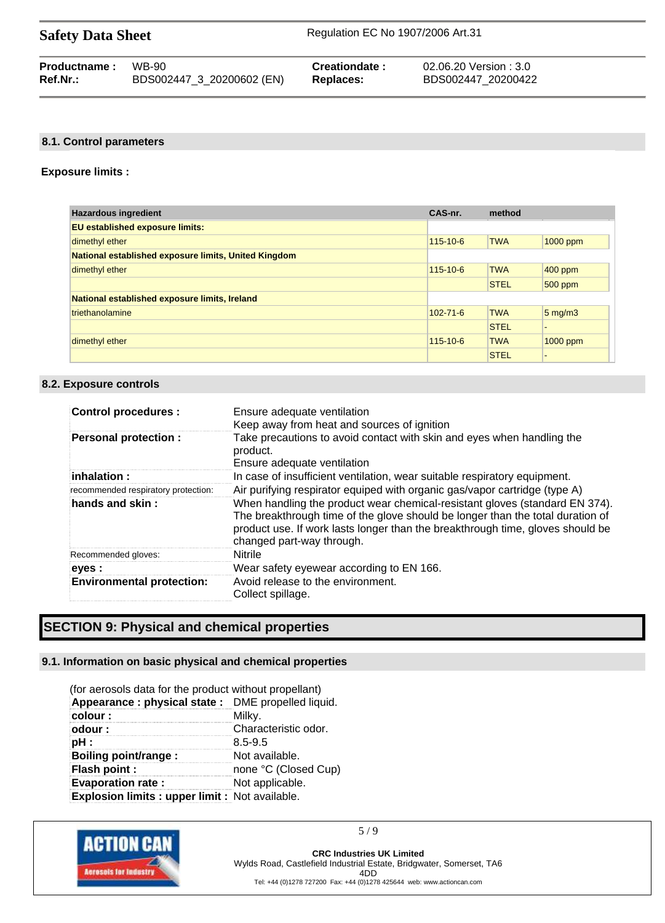| <b>Safety Data Sheet</b> | Regulation EC No 1907/2006 Art.31 |
|--------------------------|-----------------------------------|
|                          |                                   |

| <b>Productname:</b> | WB-90                     | Creationdate: | 02.06.20 Version : 3.0 |
|---------------------|---------------------------|---------------|------------------------|
| Ref.Nr.:            | BDS002447_3_20200602 (EN) | Replaces:     | BDS002447 20200422     |

#### **8.1. Control parameters**

#### **Exposure limits :**

| <b>Hazardous ingredient</b>                          | CAS-nr.        | method      |                      |
|------------------------------------------------------|----------------|-------------|----------------------|
| <b>EU established exposure limits:</b>               |                |             |                      |
| dimethyl ether                                       | $115 - 10 - 6$ | <b>TWA</b>  | 1000 ppm             |
| National established exposure limits, United Kingdom |                |             |                      |
| dimethyl ether                                       | $115 - 10 - 6$ | <b>TWA</b>  | $400$ ppm            |
|                                                      |                | <b>STEL</b> | $500$ ppm            |
| National established exposure limits, Ireland        |                |             |                      |
| triethanolamine                                      | $102 - 71 - 6$ | <b>TWA</b>  | $5 \,\mathrm{mg/m3}$ |
|                                                      |                | <b>STEL</b> |                      |
| dimethyl ether                                       | 115-10-6       | <b>TWA</b>  | $1000$ ppm           |
|                                                      |                | <b>STEL</b> |                      |

#### **8.2. Exposure controls**

| <b>Control procedures:</b>          | Ensure adequate ventilation<br>Keep away from heat and sources of ignition                                                                                                                                                                                                   |
|-------------------------------------|------------------------------------------------------------------------------------------------------------------------------------------------------------------------------------------------------------------------------------------------------------------------------|
| <b>Personal protection:</b>         | Take precautions to avoid contact with skin and eyes when handling the<br>product.<br>Ensure adequate ventilation                                                                                                                                                            |
| $i$ nhalation :                     | In case of insufficient ventilation, wear suitable respiratory equipment.                                                                                                                                                                                                    |
| recommended respiratory protection: | Air purifying respirator equiped with organic gas/vapor cartridge (type A)                                                                                                                                                                                                   |
| hands and skin:                     | When handling the product wear chemical-resistant gloves (standard EN 374).<br>The breakthrough time of the glove should be longer than the total duration of<br>product use. If work lasts longer than the breakthrough time, gloves should be<br>changed part-way through. |
| Recommended gloves:                 | Nitrile                                                                                                                                                                                                                                                                      |
| eyes :                              | Wear safety eyewear according to EN 166.                                                                                                                                                                                                                                     |
| <b>Environmental protection:</b>    | Avoid release to the environment.<br>Collect spillage.                                                                                                                                                                                                                       |

# **SECTION 9: Physical and chemical properties**

#### **9.1. Information on basic physical and chemical properties**

| (for aerosols data for the product without propellant)<br>Appearance : physical state : DME propelled liquid. |                      |  |
|---------------------------------------------------------------------------------------------------------------|----------------------|--|
| colour:                                                                                                       | Milky.               |  |
| odour:                                                                                                        | Characteristic odor. |  |
| pH:                                                                                                           | $8.5 - 9.5$          |  |
| Boiling point/range:                                                                                          | Not available.       |  |
| <b>Flash point:</b>                                                                                           | none °C (Closed Cup) |  |
| <b>Evaporation rate:</b>                                                                                      | Not applicable.      |  |
| Explosion limits : upper limit : Not available.                                                               |                      |  |



5 / 9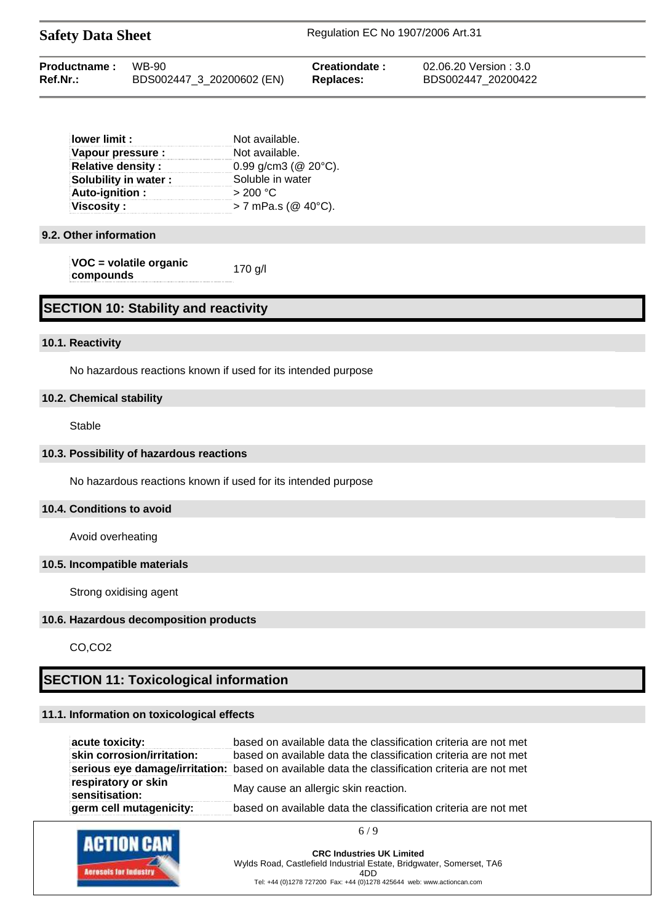| <b>Safety Data Sheet</b> |                           | Regulation EC No 1907/2006 Art.31 |                        |  |
|--------------------------|---------------------------|-----------------------------------|------------------------|--|
| Productname:             | <b>WB-90</b>              | Creationdate:                     | 02.06.20 Version : 3.0 |  |
| $Ref.Nr.$ :              | BDS002447_3_20200602 (EN) | Replaces:                         | BDS002447 20200422     |  |

| lower limit :            | Not available.              |  |
|--------------------------|-----------------------------|--|
| Vapour pressure :        | Not available.              |  |
| <b>Relative density:</b> | 0.99 g/cm3 ( $@$ 20 $°C$ ). |  |
| Solubility in water:     | Soluble in water            |  |
| Auto-ignition:           | > 200 °C                    |  |
| <b>Viscosity:</b>        | $> 7$ mPa.s (@ 40°C).       |  |

#### **9.2. Other information**

| VOC = volatile organic | 170 g/l |
|------------------------|---------|
| compounds              |         |

# **SECTION 10: Stability and reactivity**

#### **10.1. Reactivity**

No hazardous reactions known if used for its intended purpose

#### **10.2. Chemical stability**

Stable

#### **10.3. Possibility of hazardous reactions**

No hazardous reactions known if used for its intended purpose

#### **10.4. Conditions to avoid**

Avoid overheating

#### **10.5. Incompatible materials**

Strong oxidising agent

#### **10.6. Hazardous decomposition products**

CO,CO2

# **SECTION 11: Toxicological information**

#### **11.1. Information on toxicological effects**

| acute toxicity:                       | based on available data the classification criteria are not met                                |
|---------------------------------------|------------------------------------------------------------------------------------------------|
| skin corrosion/irritation:            | based on available data the classification criteria are not met                                |
|                                       | serious eye damage/irritation: based on available data the classification criteria are not met |
| respiratory or skin<br>sensitisation: | May cause an allergic skin reaction.                                                           |
| germ cell mutagenicity:               | based on available data the classification criteria are not met                                |

6 / 9

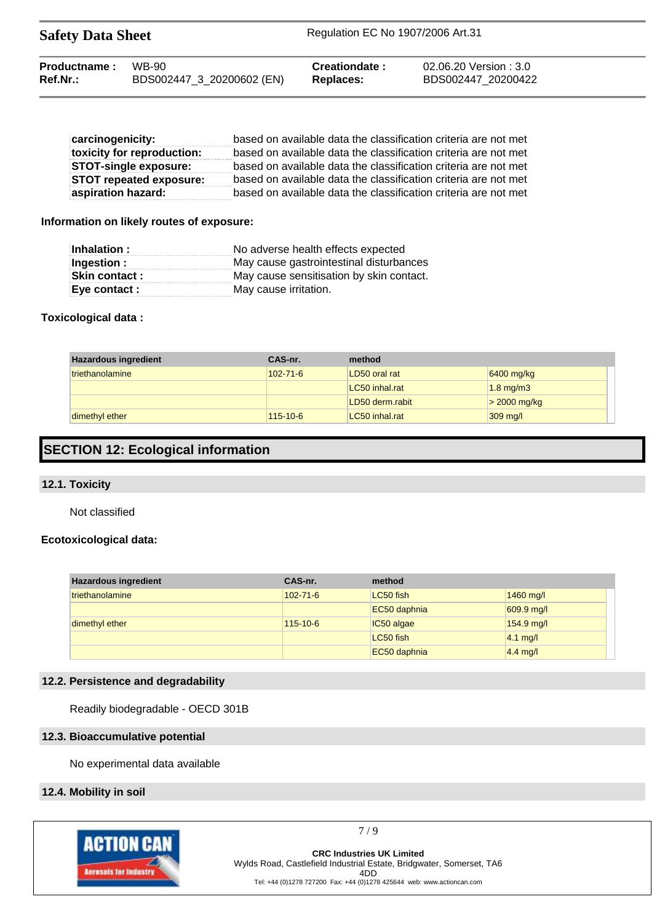| <b>Safety Data Sheet</b> |                           | Regulation EC No 1907/2006 Art.31 |                        |  |
|--------------------------|---------------------------|-----------------------------------|------------------------|--|
| Productname:             | WB-90                     | <b>Creationdate:</b>              | 02.06.20 Version : 3.0 |  |
| Ref.Nr.:                 | BDS002447_3_20200602 (EN) | Replaces:                         | BDS002447 20200422     |  |

| carcinogenicity:               | based on available data the classification criteria are not met |
|--------------------------------|-----------------------------------------------------------------|
| toxicity for reproduction:     | based on available data the classification criteria are not met |
| <b>STOT-single exposure:</b>   | based on available data the classification criteria are not met |
| <b>STOT repeated exposure:</b> | based on available data the classification criteria are not met |
| aspiration hazard:             | based on available data the classification criteria are not met |

#### **Information on likely routes of exposure:**

| Inhalation :  | No adverse health effects expected       |
|---------------|------------------------------------------|
| Ingestion :   | May cause gastrointestinal disturbances  |
| Skin contact: | May cause sensitisation by skin contact. |
| Eye contact : | May cause irritation.                    |

#### **Toxicological data :**

| <b>Hazardous ingredient</b> | CAS-nr.        | method          |                |
|-----------------------------|----------------|-----------------|----------------|
| triethanolamine             | $102 - 71 - 6$ | LD50 oral rat   | 6400 mg/kg     |
|                             |                | LC50 inhal.rat  | $1.8$ mg/m $3$ |
|                             |                | LD50 derm.rabit | $>$ 2000 mg/kg |
| dimethyl ether              | 115-10-6       | LC50 inhal.rat  | $309$ mg/l     |

# **SECTION 12: Ecological information**

#### **12.1. Toxicity**

Not classified

#### **Ecotoxicological data:**

| <b>Hazardous ingredient</b> | CAS-nr.        | method       |            |
|-----------------------------|----------------|--------------|------------|
| triethanolamine             | $102 - 71 - 6$ | LC50 fish    | 1460 mg/l  |
|                             |                | EC50 daphnia | 609.9 mg/l |
| dimethyl ether              | $115 - 10 - 6$ | IC50 algae   | 154.9 mg/l |
|                             |                | LC50 fish    | $4.1$ mg/l |
|                             |                | EC50 daphnia | $4.4$ mg/l |

# **12.2. Persistence and degradability**

Readily biodegradable - OECD 301B

#### **12.3. Bioaccumulative potential**

No experimental data available

#### **12.4. Mobility in soil**



7 / 9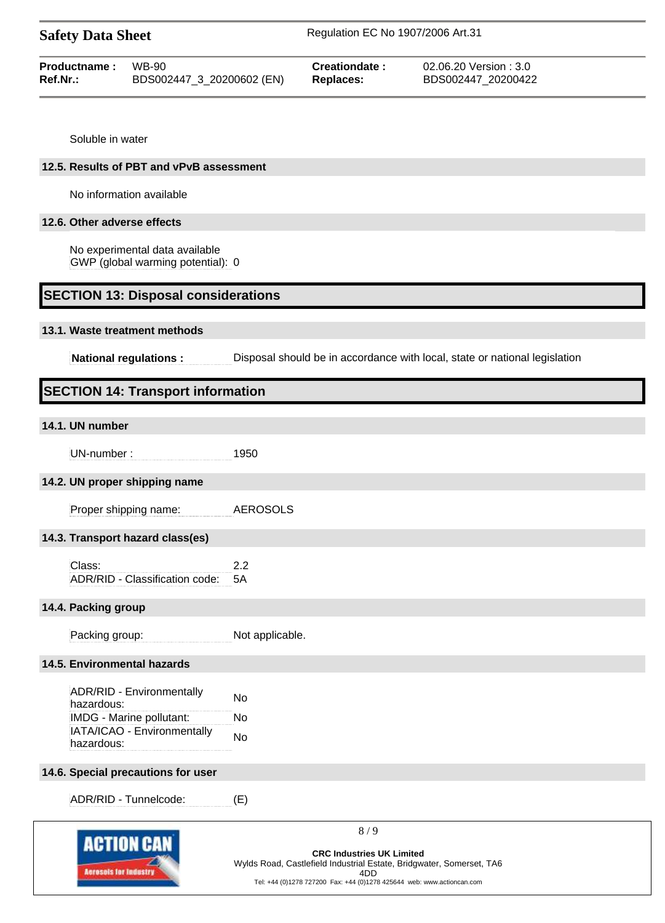| <b>Safety Data Sheet</b> |                           | Regulation EC No 1907/2006 Art.31 |                        |  |
|--------------------------|---------------------------|-----------------------------------|------------------------|--|
| Productname:             | WB-90                     | Creationdate:                     | 02.06.20 Version : 3.0 |  |
| Ref.Nr.:                 | BDS002447_3_20200602 (EN) | Replaces:                         | BDS002447 20200422     |  |

Soluble in water

#### **12.5. Results of PBT and vPvB assessment**

No information available

#### **12.6. Other adverse effects**

No experimental data available GWP (global warming potential): 0

### **SECTION 13: Disposal considerations**

#### **13.1. Waste treatment methods**

**National regulations :** Disposal should be in accordance with local, state or national legislation

## **SECTION 14: Transport information**

# **14.1. UN number**

UN-number : 1950

#### **14.2. UN proper shipping name**

Proper shipping name: AEROSOLS

#### **14.3. Transport hazard class(es)**

Class: 2.2 ADR/RID - Classification code: 5A

#### **14.4. Packing group**

Packing group: Not applicable.

#### **14.5. Environmental hazards**

| <b>ADR/RID - Environmentally</b> | No |
|----------------------------------|----|
| hazardous:                       |    |
| IMDG - Marine pollutant:         | N٥ |
| IATA/ICAO - Environmentally      | Nο |
| hazardous:                       |    |

#### **14.6. Special precautions for user**

ADR/RID - Tunnelcode: (E)



8 / 9